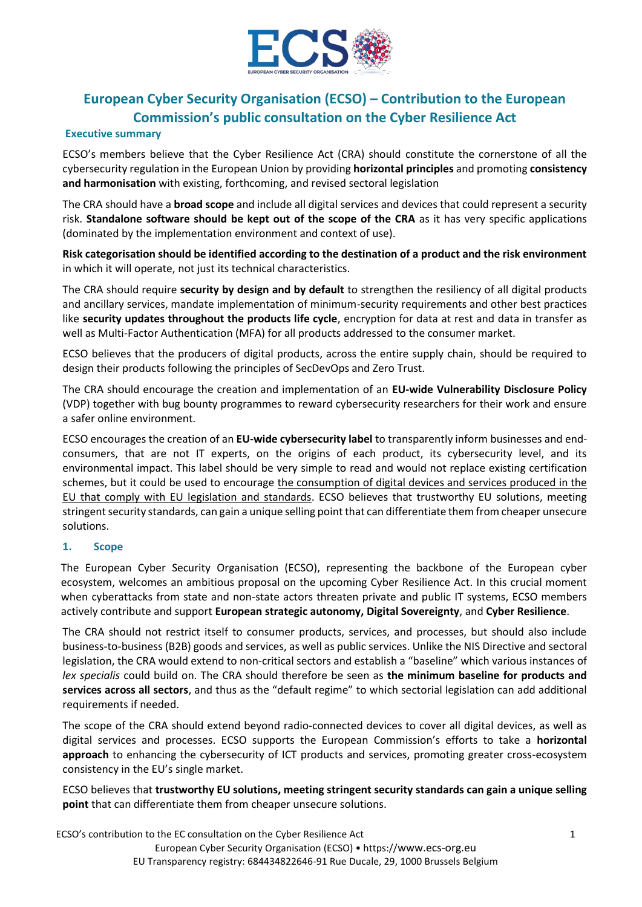

# **European Cyber Security Organisation (ECSO) – Contribution to the European Commission's public consultation on the Cyber Resilience Act**

#### **Executive summary**

ECSO's members believe that the Cyber Resilience Act (CRA) should constitute the cornerstone of all the cybersecurity regulation in the European Union by providing **horizontal principles** and promoting **consistency and harmonisation** with existing, forthcoming, and revised sectoral legislation

The CRA should have a **broad scope** and include all digital services and devices that could represent a security risk. **Standalone software should be kept out of the scope of the CRA** as it has very specific applications (dominated by the implementation environment and context of use).

**Risk categorisation should be identified according to the destination of a product and the risk environment** in which it will operate, not just its technical characteristics.

The CRA should require **security by design and by default** to strengthen the resiliency of all digital products and ancillary services, mandate implementation of minimum-security requirements and other best practices like **security updates throughout the products life cycle**, encryption for data at rest and data in transfer as well as Multi-Factor Authentication (MFA) for all products addressed to the consumer market.

ECSO believes that the producers of digital products, across the entire supply chain, should be required to design their products following the principles of SecDevOps and Zero Trust.

The CRA should encourage the creation and implementation of an **EU-wide Vulnerability Disclosure Policy** (VDP) together with bug bounty programmes to reward cybersecurity researchers for their work and ensure a safer online environment.

ECSO encourages the creation of an **EU-wide cybersecurity label** to transparently inform businesses and endconsumers, that are not IT experts, on the origins of each product, its cybersecurity level, and its environmental impact. This label should be very simple to read and would not replace existing certification schemes, but it could be used to encourage the consumption of digital devices and services produced in the EU that comply with EU legislation and standards. ECSO believes that trustworthy EU solutions, meeting stringent security standards, can gain a unique selling point that can differentiate them from cheaper unsecure solutions.

## **1. Scope**

The European Cyber Security Organisation (ECSO), representing the backbone of the European cyber ecosystem, welcomes an ambitious proposal on the upcoming Cyber Resilience Act. In this crucial moment when cyberattacks from state and non-state actors threaten private and public IT systems, ECSO members actively contribute and support **European strategic autonomy, Digital Sovereignty**, and **Cyber Resilience**.

The CRA should not restrict itself to consumer products, services, and processes, but should also include business‐to‐business (B2B) goods and services, as well as public services. Unlike the NIS Directive and sectoral legislation, the CRA would extend to non‐critical sectors and establish a "baseline" which various instances of *lex specialis* could build on. The CRA should therefore be seen as **the minimum baseline for products and services across all sectors**, and thus as the "default regime" to which sectorial legislation can add additional requirements if needed.

The scope of the CRA should extend beyond radio-connected devices to cover all digital devices, as well as digital services and processes. ECSO supports the European Commission's efforts to take a **horizontal approach** to enhancing the cybersecurity of ICT products and services, promoting greater cross-ecosystem consistency in the EU's single market.

ECSO believes that **trustworthy EU solutions, meeting stringent security standards can gain a unique selling point** that can differentiate them from cheaper unsecure solutions.

ECSO's contribution to the EC consultation on the Cyber Resilience Act 1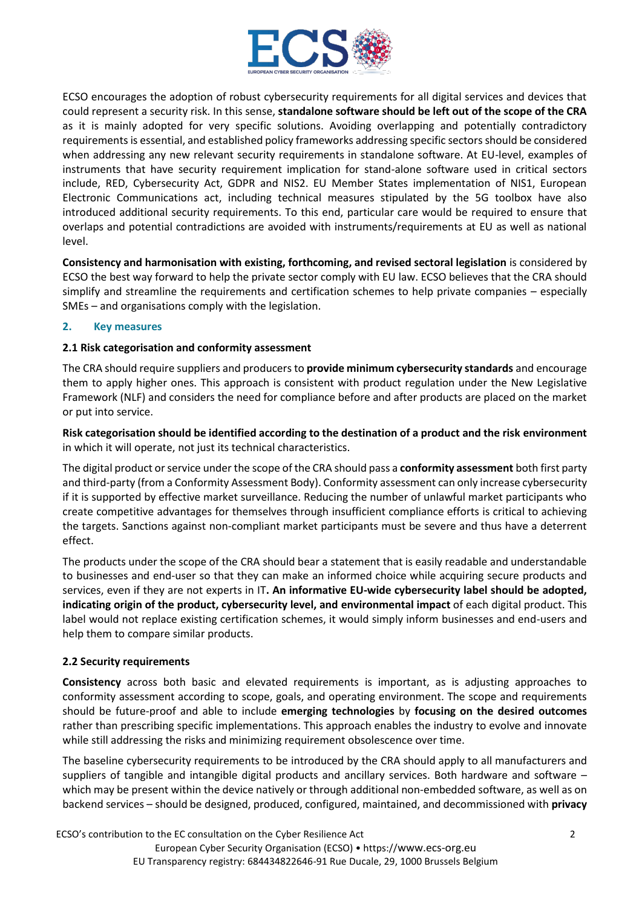

ECSO encourages the adoption of robust cybersecurity requirements for all digital services and devices that could represent a security risk. In this sense, **standalone software should be left out of the scope of the CRA** as it is mainly adopted for very specific solutions. Avoiding overlapping and potentially contradictory requirements is essential, and established policy frameworks addressing specific sectors should be considered when addressing any new relevant security requirements in standalone software. At EU-level, examples of instruments that have security requirement implication for stand-alone software used in critical sectors include, RED, Cybersecurity Act, GDPR and NIS2. EU Member States implementation of NIS1, European Electronic Communications act, including technical measures stipulated by the 5G toolbox have also introduced additional security requirements. To this end, particular care would be required to ensure that overlaps and potential contradictions are avoided with instruments/requirements at EU as well as national level.

**Consistency and harmonisation with existing, forthcoming, and revised sectoral legislation** is considered by ECSO the best way forward to help the private sector comply with EU law. ECSO believes that the CRA should simplify and streamline the requirements and certification schemes to help private companies – especially SMEs – and organisations comply with the legislation.

## **2. Key measures**

## **2.1 Risk categorisation and conformity assessment**

The CRA should require suppliers and producers to **provide minimum cybersecurity standards** and encourage them to apply higher ones. This approach is consistent with product regulation under the New Legislative Framework (NLF) and considers the need for compliance before and after products are placed on the market or put into service.

**Risk categorisation should be identified according to the destination of a product and the risk environment** in which it will operate, not just its technical characteristics.

The digital product or service under the scope of the CRA should pass a **conformity assessment** both first party and third-party (from a Conformity Assessment Body). Conformity assessment can only increase cybersecurity if it is supported by effective market surveillance. Reducing the number of unlawful market participants who create competitive advantages for themselves through insufficient compliance efforts is critical to achieving the targets. Sanctions against non-compliant market participants must be severe and thus have a deterrent effect.

The products under the scope of the CRA should bear a statement that is easily readable and understandable to businesses and end-user so that they can make an informed choice while acquiring secure products and services, even if they are not experts in IT**. An informative EU-wide cybersecurity label should be adopted, indicating origin of the product, cybersecurity level, and environmental impact** of each digital product. This label would not replace existing certification schemes, it would simply inform businesses and end-users and help them to compare similar products.

# **2.2 Security requirements**

**Consistency** across both basic and elevated requirements is important, as is adjusting approaches to conformity assessment according to scope, goals, and operating environment. The scope and requirements should be future-proof and able to include **emerging technologies** by **focusing on the desired outcomes** rather than prescribing specific implementations. This approach enables the industry to evolve and innovate while still addressing the risks and minimizing requirement obsolescence over time.

The baseline cybersecurity requirements to be introduced by the CRA should apply to all manufacturers and suppliers of tangible and intangible digital products and ancillary services. Both hardware and software – which may be present within the device natively or through additional non-embedded software, as well as on backend services – should be designed, produced, configured, maintained, and decommissioned with **privacy** 

ECSO's contribution to the EC consultation on the Cyber Resilience Act 2